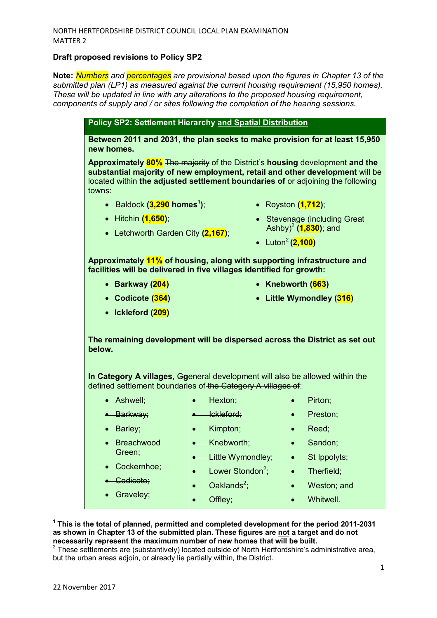## **Draft proposed revisions to Policy SP2**

**Note:** *Numbers and percentages are provisional based upon the figures in Chapter 13 of the submitted plan (LP1) as measured against the current housing requirement (15,950 homes). These will be updated in line with any alterations to the proposed housing requirement, components of supply and / or sites following the completion of the hearing sessions.*

**Policy SP2: Settlement Hierarchy and Spatial Distribution Between 2011 and 2031, the plan seeks to make provision for at least 15,950 new homes. Approximately 80%** The majority of the District's **housing** development **and the substantial majority of new employment, retail and other development** will be located within **the adjusted settlement boundaries of** or adjoining the following towns: • Baldock **(3,290 homes<sup>1</sup> )**; • Hitchin **(1,650)**; • Letchworth Garden City **(2,167)**; • Royston **(1,712)**; • Stevenage (including Great Ashby)<sup>2</sup> **(1,830)**; and • Luton<sup>2</sup> (2,100) **Approximately 11% of housing, along with supporting infrastructure and facilities will be delivered in five villages identified for growth:**  • **Barkway (204)**  • **Codicote (364)**  • **Ickleford (209)**  • **Knebworth (663)**  • **Little Wymondley (316) The remaining development will be dispersed across the District as set out below. In Category A villages,** G**g**eneral development will also be allowed within the defined settlement boundaries of the Category A villages of: • Ashwell; • Barkway; • Barley; • Breachwood Green; • Cockernhoe; • Codicote: • Graveley; • Hexton; • Ickleford; • Kimpton; • Knebworth; • Little Wymondley;  $\bullet$  Lower Stondon<sup>2</sup>;  $\bullet$  Oaklands<sup>2</sup>; • Offley; • Pirton; • Preston; • Reed; • Sandon; • St Ippolyts; • Therfield: • Weston; and • Whitwell.

**1 This is the total of planned, permitted and completed development for the period 2011-2031 as shown in Chapter 13 of the submitted plan. These figures are not a target and do not necessarily represent the maximum number of new homes that will be built.** 

 $\overline{a}$ 

 $2$  These settlements are (substantively) located outside of North Hertfordshire's administrative area, but the urban areas adjoin, or already lie partially within, the District.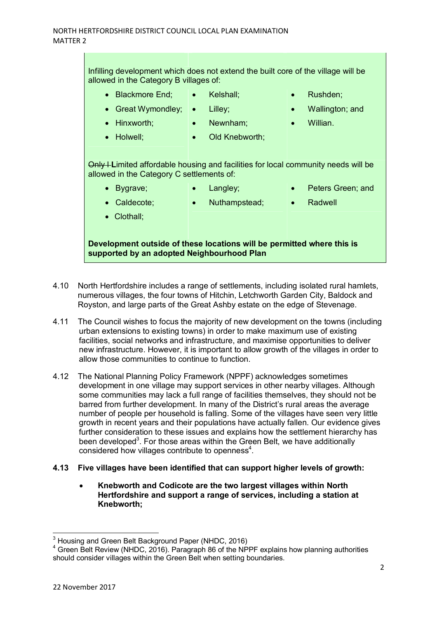Infilling development which does not extend the built core of the village will be allowed in the Category B villages of:

- Blackmore End:
	- Kelshall;
- Rushden;

Wallington; and

- Lilley;
- Great Wymondley; • Hinxworth;
	- Newnham;
- Willian.

- Holwell;
- Old Knebworth:

Only I Limited affordable housing and facilities for local community needs will be allowed in the Category C settlements of:

- Bygrave; • Langley; • Peters Green; and
- Caldecote;
- Nuthampstead;
- Radwell

• Clothall;

**Development outside of these locations will be permitted where this is supported by an adopted Neighbourhood Plan** 

- 4.10 North Hertfordshire includes a range of settlements, including isolated rural hamlets, numerous villages, the four towns of Hitchin, Letchworth Garden City, Baldock and Royston, and large parts of the Great Ashby estate on the edge of Stevenage.
- 4.11 The Council wishes to focus the majority of new development on the towns (including urban extensions to existing towns) in order to make maximum use of existing facilities, social networks and infrastructure, and maximise opportunities to deliver new infrastructure. However, it is important to allow growth of the villages in order to allow those communities to continue to function.
- 4.12 The National Planning Policy Framework (NPPF) acknowledges sometimes development in one village may support services in other nearby villages. Although some communities may lack a full range of facilities themselves, they should not be barred from further development. In many of the District's rural areas the average number of people per household is falling. Some of the villages have seen very little growth in recent years and their populations have actually fallen. Our evidence gives further consideration to these issues and explains how the settlement hierarchy has been developed<sup>3</sup>. For those areas within the Green Belt, we have additionally considered how villages contribute to openness $4$ .

## **4.13 Five villages have been identified that can support higher levels of growth:**

• **Knebworth and Codicote are the two largest villages within North Hertfordshire and support a range of services, including a station at Knebworth;**

l

 $3$  Housing and Green Belt Background Paper (NHDC, 2016)

<sup>&</sup>lt;sup>4</sup> Green Belt Review (NHDC, 2016). Paragraph 86 of the NPPF explains how planning authorities should consider villages within the Green Belt when setting boundaries.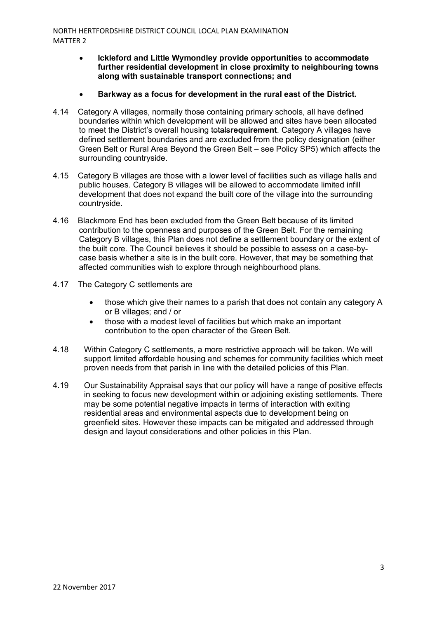- **Ickleford and Little Wymondley provide opportunities to accommodate further residential development in close proximity to neighbouring towns along with sustainable transport connections; and**
- **Barkway as a focus for development in the rural east of the District.**
- 4.14 Category A villages, normally those containing primary schools, all have defined boundaries within which development will be allowed and sites have been allocated to meet the District's overall housing totals**requirement**. Category A villages have defined settlement boundaries and are excluded from the policy designation (either Green Belt or Rural Area Beyond the Green Belt – see Policy SP5) which affects the surrounding countryside.
- 4.15 Category B villages are those with a lower level of facilities such as village halls and public houses. Category B villages will be allowed to accommodate limited infill development that does not expand the built core of the village into the surrounding countryside.
- 4.16 Blackmore End has been excluded from the Green Belt because of its limited contribution to the openness and purposes of the Green Belt. For the remaining Category B villages, this Plan does not define a settlement boundary or the extent of the built core. The Council believes it should be possible to assess on a case-bycase basis whether a site is in the built core. However, that may be something that affected communities wish to explore through neighbourhood plans.
- 4.17 The Category C settlements are
	- those which give their names to a parish that does not contain any category A or B villages; and / or
	- those with a modest level of facilities but which make an important contribution to the open character of the Green Belt.
- 4.18 Within Category C settlements, a more restrictive approach will be taken. We will support limited affordable housing and schemes for community facilities which meet proven needs from that parish in line with the detailed policies of this Plan.
- 4.19 Our Sustainability Appraisal says that our policy will have a range of positive effects in seeking to focus new development within or adjoining existing settlements. There may be some potential negative impacts in terms of interaction with exiting residential areas and environmental aspects due to development being on greenfield sites. However these impacts can be mitigated and addressed through design and layout considerations and other policies in this Plan.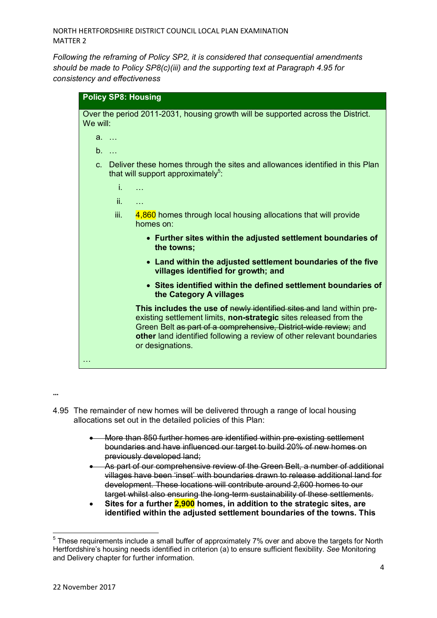*Following the reframing of Policy SP2, it is considered that consequential amendments should be made to Policy SP8(c)(iii) and the supporting text at Paragraph 4.95 for consistency and effectiveness* 

| <b>Policy SP8: Housing</b>                                                                                                                                                                                                                                                                                 |
|------------------------------------------------------------------------------------------------------------------------------------------------------------------------------------------------------------------------------------------------------------------------------------------------------------|
| Over the period 2011-2031, housing growth will be supported across the District.<br>We will:                                                                                                                                                                                                               |
| $a. \ldots$                                                                                                                                                                                                                                                                                                |
| b.                                                                                                                                                                                                                                                                                                         |
| c. Deliver these homes through the sites and allowances identified in this Plan<br>that will support approximately <sup>5</sup> :                                                                                                                                                                          |
| i.<br>.                                                                                                                                                                                                                                                                                                    |
| ii.<br>$\cdots$                                                                                                                                                                                                                                                                                            |
| iii.<br>4,860 homes through local housing allocations that will provide<br>homes on:                                                                                                                                                                                                                       |
| • Further sites within the adjusted settlement boundaries of<br>the towns;                                                                                                                                                                                                                                 |
| • Land within the adjusted settlement boundaries of the five<br>villages identified for growth; and                                                                                                                                                                                                        |
| • Sites identified within the defined settlement boundaries of<br>the Category A villages                                                                                                                                                                                                                  |
| This includes the use of newly identified sites and land within pre-<br>existing settlement limits, non-strategic sites released from the<br>Green Belt as part of a comprehensive, District-wide review; and<br>other land identified following a review of other relevant boundaries<br>or designations. |
|                                                                                                                                                                                                                                                                                                            |

**…** 

l

- 4.95 The remainder of new homes will be delivered through a range of local housing allocations set out in the detailed policies of this Plan:
	- More than 850 further homes are identified within pre-existing settlement boundaries and have influenced our target to build 20% of new homes on previously developed land;
	- As part of our comprehensive review of the Green Belt, a number of additional villages have been 'inset' with boundaries drawn to release additional land for development. These locations will contribute around 2,600 homes to our target whilst also ensuring the long-term sustainability of these settlements.
	- **Sites for a further 2,900 homes, in addition to the strategic sites, are identified within the adjusted settlement boundaries of the towns. This**

 $5$  These requirements include a small buffer of approximately 7% over and above the targets for North Hertfordshire's housing needs identified in criterion (a) to ensure sufficient flexibility. *See* Monitoring and Delivery chapter for further information.